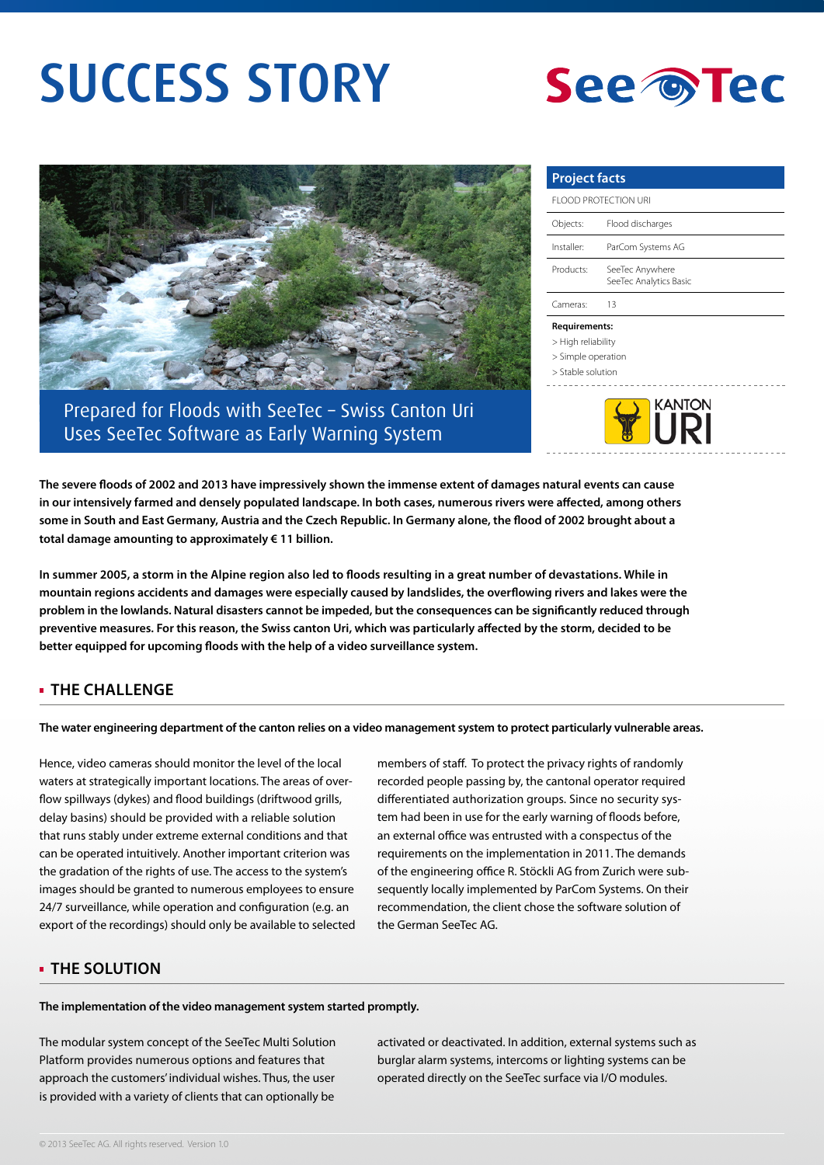# SUCCESS STORY





Prepared for Floods with SeeTec – Swiss Canton Uri Uses SeeTec Software as Early Warning System

| <b>Project facts</b> |                                           |
|----------------------|-------------------------------------------|
| FLOOD PROTECTION URI |                                           |
| Objects:             | Flood discharges                          |
| Installer:           | ParCom Systems AG                         |
| Products:            | SeeTec Anywhere<br>SeeTec Analytics Basic |
| Cameras <sup>.</sup> | 13                                        |

#### **Requirements:**

- > High reliability
- > Simple operation
- > Stable solution
- 



**The severe floods of 2002 and 2013 have impressively shown the immense extent of damages natural events can cause in our intensively farmed and densely populated landscape. In both cases, numerous rivers were affected, among others some in South and East Germany, Austria and the Czech Republic. In Germany alone, the flood of 2002 brought about a total damage amounting to approximately € 11 billion.** 

**In summer 2005, a storm in the Alpine region also led to floods resulting in a great number of devastations. While in mountain regions accidents and damages were especially caused by landslides, the overflowing rivers and lakes were the problem in the lowlands. Natural disasters cannot be impeded, but the consequences can be significantly reduced through preventive measures. For this reason, the Swiss canton Uri, which was particularly affected by the storm, decided to be better equipped for upcoming floods with the help of a video surveillance system.**

## **THE CHALLENGE**

**The water engineering department of the canton relies on a video management system to protect particularly vulnerable areas.**

Hence, video cameras should monitor the level of the local waters at strategically important locations. The areas of overflow spillways (dykes) and flood buildings (driftwood grills, delay basins) should be provided with a reliable solution that runs stably under extreme external conditions and that can be operated intuitively. Another important criterion was the gradation of the rights of use. The access to the system's images should be granted to numerous employees to ensure 24/7 surveillance, while operation and configuration (e.g. an export of the recordings) should only be available to selected members of staff. To protect the privacy rights of randomly recorded people passing by, the cantonal operator required differentiated authorization groups. Since no security system had been in use for the early warning of floods before, an external office was entrusted with a conspectus of the requirements on the implementation in 2011. The demands of the engineering office R. Stöckli AG from Zurich were subsequently locally implemented by ParCom Systems. On their recommendation, the client chose the software solution of the German SeeTec AG.

### **THE SOLUTION**

**The implementation of the video management system started promptly.** 

The modular system concept of the SeeTec Multi Solution Platform provides numerous options and features that approach the customers' individual wishes. Thus, the user is provided with a variety of clients that can optionally be

activated or deactivated. In addition, external systems such as burglar alarm systems, intercoms or lighting systems can be operated directly on the SeeTec surface via I/O modules.